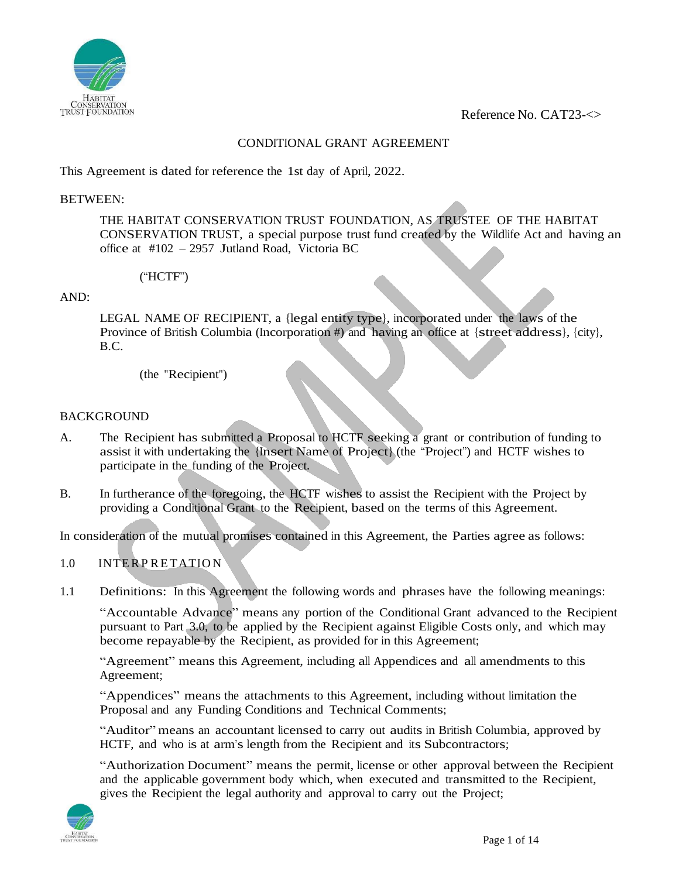

Reference No. CAT23-<>

# CONDITIONAL GRANT AGREEMENT

This Agreement is dated for reference the 1st day of April, 2022.

### BETWEEN:

THE HABITAT CONSERVATION TRUST FOUNDATION, AS TRUSTEE OF THE HABITAT CONSERVATION TRUST, a special purpose trust fund created by the Wildlife Act and having an office at #102 – 2957 Jutland Road, Victoria BC

## ("HCTF")

### AND:

LEGAL NAME OF RECIPIENT, a {legal entity type}, incorporated under the laws of the Province of British Columbia (Incorporation #) and having an office at {street address}, {city}, B.C.

(the "Recipient")

### BACKGROUND

- A. The Recipient has submitted a Proposal to HCTF seeking a grant or contribution of funding to assist it with undertaking the {Insert Name of Project} (the "Project") and HCTF wishes to participate in the funding of the Project.
- B. In furtherance of the foregoing, the HCTF wishes to assist the Recipient with the Project by providing a Conditional Grant to the Recipient, based on the terms of this Agreement.

In consideration of the mutual promises contained in this Agreement, the Parties agree as follows:

# 1.0 INTERP RETATIO N

1.1 Definitions: In this Agreement the following words and phrases have the following meanings:

"Accountable Advance" means any portion of the Conditional Grant advanced to the Recipient pursuant to Part 3.0, to be applied by the Recipient against Eligible Costs only, and which may become repayable by the Recipient, as provided for in this Agreement;

"Agreement" means this Agreement, including all Appendices and all amendments to this Agreement;

"Appendices" means the attachments to this Agreement, including without limitation the Proposal and any Funding Conditions and Technical Comments;

"Auditor" means an accountant licensed to carry out audits in British Columbia, approved by HCTF, and who is at arm's length from the Recipient and its Subcontractors;

"Authorization Document" means the permit, license or other approval between the Recipient and the applicable government body which, when executed and transmitted to the Recipient, gives the Recipient the legal authority and approval to carry out the Project;

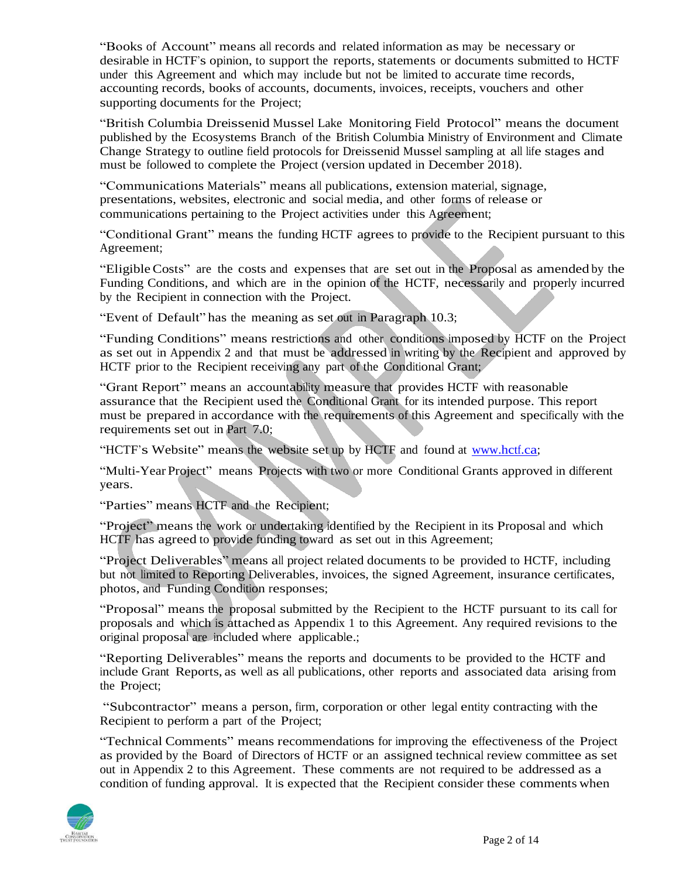"Books of Account" means all records and related information as may be necessary or desirable in HCTF's opinion, to support the reports, statements or documents submitted to HCTF under this Agreement and which may include but not be limited to accurate time records, accounting records, books of accounts, documents, invoices, receipts, vouchers and other supporting documents for the Project;

"British Columbia Dreissenid Mussel Lake Monitoring Field Protocol" means the document published by the Ecosystems Branch of the British Columbia Ministry of Environment and Climate Change Strategy to outline field protocols for Dreissenid Mussel sampling at all life stages and must be followed to complete the Project (version updated in December 2018).

"Communications Materials" means all publications, extension material, signage, presentations, websites, electronic and social media, and other forms of release or communications pertaining to the Project activities under this Agreement;

"Conditional Grant" means the funding HCTF agrees to provide to the Recipient pursuant to this Agreement;

"EligibleCosts" are the costs and expenses that are set out in the Proposal as amended by the Funding Conditions, and which are in the opinion of the HCTF, necessarily and properly incurred by the Recipient in connection with the Project.

"Event of Default" has the meaning as set out in Paragraph 10.3;

"Funding Conditions" means restrictions and other conditions imposed by HCTF on the Project as set out in Appendix 2 and that must be addressed in writing by the Recipient and approved by HCTF prior to the Recipient receiving any part of the Conditional Grant;

"Grant Report" means an accountability measure that provides HCTF with reasonable assurance that the Recipient used the Conditional Grant for its intended purpose. This report must be prepared in accordance with the requirements of this Agreement and specifically with the requirements set out in Part 7.0;

"HCTF's Website" means the website set up by HCTF and found at www.hctf.ca;

"Multi-Year Project" means Projects with two or more Conditional Grants approved in different years.

"Parties" means HCTF and the Recipient;

"Project" means the work or undertaking identified by the Recipient in its Proposal and which HCTF has agreed to provide funding toward as set out in this Agreement;

"Project Deliverables" means all project related documents to be provided to HCTF, including but not limited to Reporting Deliverables, invoices, the signed Agreement, insurance certificates, photos, and Funding Condition responses;

"Proposal" means the proposal submitted by the Recipient to the HCTF pursuant to its call for proposals and which is attached as Appendix 1 to this Agreement. Any required revisions to the original proposal are included where applicable.;

"Reporting Deliverables" means the reports and documents to be provided to the HCTF and include Grant Reports, as well as all publications, other reports and associated data arising from the Project;

"Subcontractor" means a person, firm, corporation or other legal entity contracting with the Recipient to perform a part of the Project;

"Technical Comments" means recommendations for improving the effectiveness of the Project as provided by the Board of Directors of HCTF or an assigned technical review committee as set out in Appendix 2 to this Agreement. These comments are not required to be addressed as a condition of funding approval. It is expected that the Recipient consider these comments when

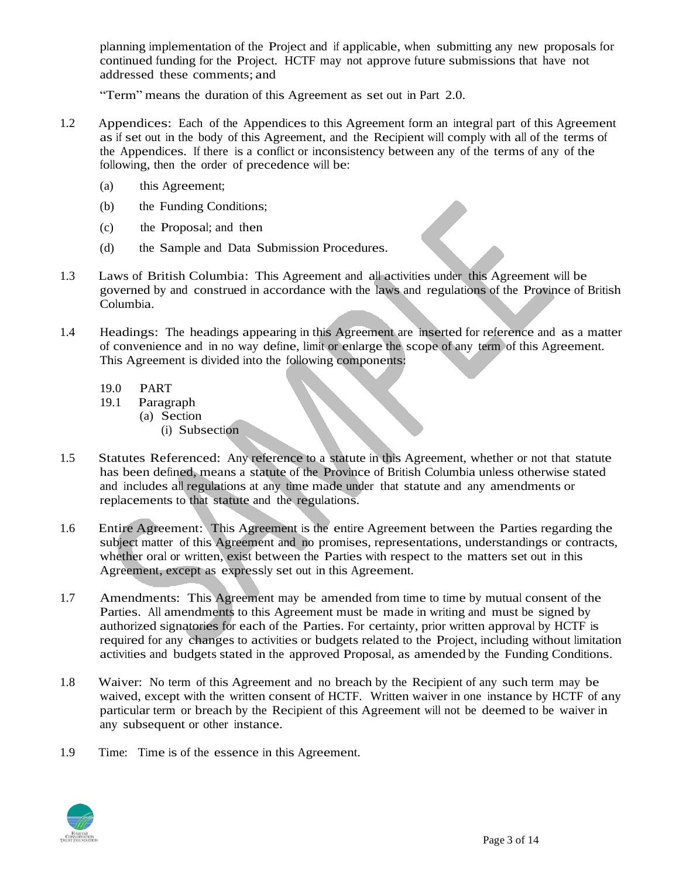planning implementation of the Project and if applicable, when submitting any new proposals for continued funding for the Project. HCTF may not approve future submissions that have not addressed these comments; and

"Term" means the duration of this Agreement as set out in Part 2.0.

- 1.2 Appendices: Each of the Appendices to this Agreement form an integral part of this Agreement as if set out in the body of this Agreement, and the Recipient will comply with all of the terms of the Appendices. If there is a conflict or inconsistency between any of the terms of any of the following, then the order of precedence will be:
	- (a) this Agreement;
	- (b) the Funding Conditions;
	- (c) the Proposal; and then
	- (d) the Sample and Data Submission Procedures.
- 1.3 Laws of British Columbia: This Agreement and all activities under this Agreement will be governed by and construed in accordance with the laws and regulations of the Province of British Columbia.
- 1.4 Headings: The headings appearing in this Agreement are inserted for reference and as a matter of convenience and in no way define, limit or enlarge the scope of any term of this Agreement. This Agreement is divided into the following components:
	- 19.0 PART
	- 19.1 Paragraph
		- (a) Section
			- (i) Subsection
- 1.5 Statutes Referenced: Any reference to a statute in this Agreement, whether or not that statute has been defined, means a statute of the Province of British Columbia unless otherwise stated and includes all regulations at any time made under that statute and any amendments or replacements to that statute and the regulations.
- 1.6 Entire Agreement: This Agreement is the entire Agreement between the Parties regarding the subject matter of this Agreement and no promises, representations, understandings or contracts, whether oral or written, exist between the Parties with respect to the matters set out in this Agreement, except as expressly set out in this Agreement.
- 1.7 Amendments: This Agreement may be amended from time to time by mutual consent of the Parties. All amendments to this Agreement must be made in writing and must be signed by authorized signatories for each of the Parties. For certainty, prior written approval by HCTF is required for any changes to activities or budgets related to the Project, including without limitation activities and budgets stated in the approved Proposal, as amended by the Funding Conditions.
- 1.8 Waiver: No term of this Agreement and no breach by the Recipient of any such term may be waived, except with the written consent of HCTF. Written waiver in one instance by HCTF of any particular term or breach by the Recipient of this Agreement will not be deemed to be waiver in any subsequent or other instance.
- 1.9 Time: Time is of the essence in this Agreement.

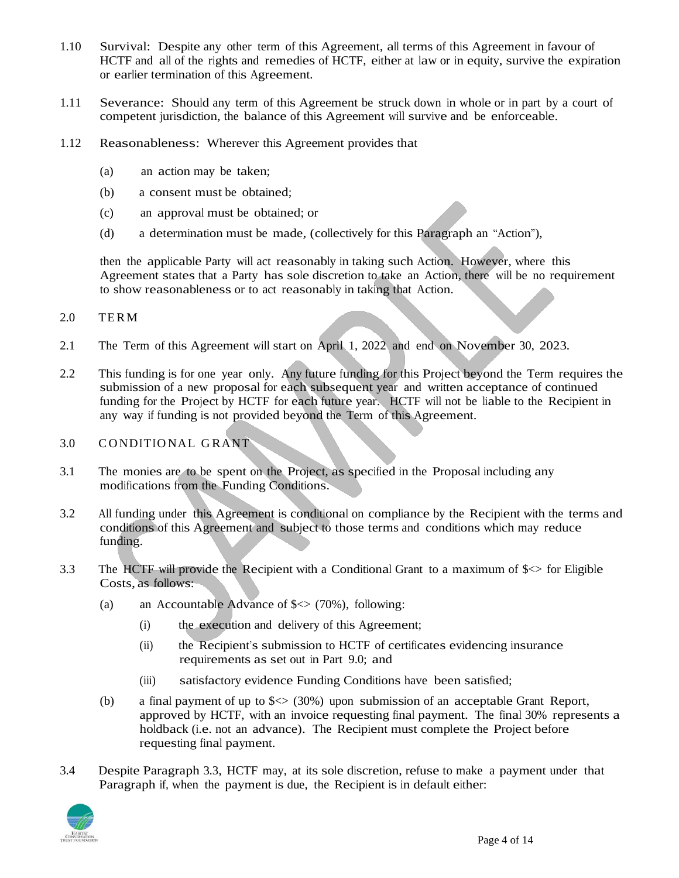- 1.10 Survival: Despite any other term of this Agreement, all terms of this Agreement in favour of HCTF and all of the rights and remedies of HCTF, either at law or in equity, survive the expiration or earlier termination of this Agreement.
- 1.11 Severance: Should any term of this Agreement be struck down in whole or in part by a court of competent jurisdiction, the balance of this Agreement will survive and be enforceable.
- 1.12 Reasonableness: Wherever this Agreement provides that
	- (a) an action may be taken;
	- (b) a consent must be obtained;
	- (c) an approval must be obtained; or
	- (d) a determination must be made, (collectively for this Paragraph an "Action"),

then the applicable Party will act reasonably in taking such Action. However, where this Agreement states that a Party has sole discretion to take an Action, there will be no requirement to show reasonableness or to act reasonably in taking that Action.

### 2.0 TER M

- 2.1 The Term of this Agreement will start on April 1, 2022 and end on November 30, 2023.
- 2.2 This funding is for one year only. Any future funding for this Project beyond the Term requires the submission of a new proposal for each subsequent year and written acceptance of continued funding for the Project by HCTF for each future year. HCTF will not be liable to the Recipient in any way if funding is not provided beyond the Term of this Agreement.
- 3.0 CONDITIONAL GRANT
- 3.1 The monies are to be spent on the Project, as specified in the Proposal including any modifications from the Funding Conditions.
- 3.2 All funding under this Agreement is conditional on compliance by the Recipient with the terms and conditions of this Agreement and subject to those terms and conditions which may reduce funding.
- 3.3 The HCTF will provide the Recipient with a Conditional Grant to a maximum of  $\zeta$  for Eligible Costs, as follows:
	- (a) an Accountable Advance of  $\leq$  (70%), following:
		- (i) the execution and delivery of this Agreement;
		- (ii) the Recipient's submission to HCTF of certificates evidencing insurance requirements as set out in Part 9.0; and
		- (iii) satisfactory evidence Funding Conditions have been satisfied;
	- (b) a final payment of up to  $\leq$  (30%) upon submission of an acceptable Grant Report, approved by HCTF, with an invoice requesting final payment. The final 30% represents a holdback (i.e. not an advance). The Recipient must complete the Project before requesting final payment.
- 3.4 Despite Paragraph 3.3, HCTF may, at its sole discretion, refuse to make a payment under that Paragraph if, when the payment is due, the Recipient is in default either:

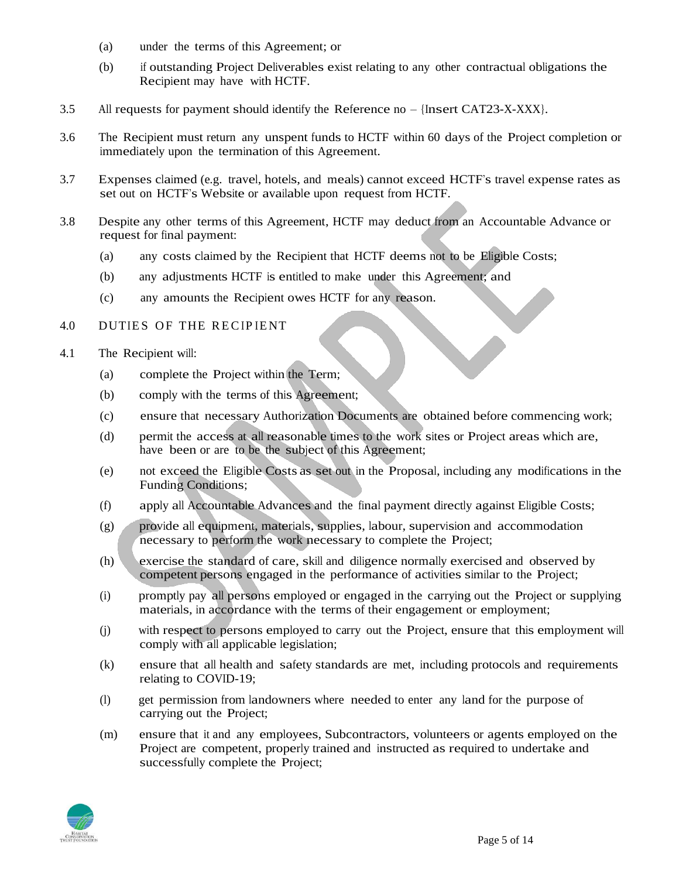- (a) under the terms of this Agreement; or
- (b) if outstanding Project Deliverables exist relating to any other contractual obligations the Recipient may have with HCTF.
- 3.5 All requests for payment should identify the Reference no {Insert CAT23-X-XXX}.
- 3.6 The Recipient must return any unspent funds to HCTF within 60 days of the Project completion or immediately upon the termination of this Agreement.
- 3.7 Expenses claimed (e.g. travel, hotels, and meals) cannot exceed HCTF's travel expense rates as set out on HCTF's Website or available upon request from HCTF.
- 3.8 Despite any other terms of this Agreement, HCTF may deduct from an Accountable Advance or request for final payment:
	- (a) any costs claimed by the Recipient that HCTF deems not to be Eligible Costs;
	- (b) any adjustments HCTF is entitled to make under this Agreement; and
	- (c) any amounts the Recipient owes HCTF for any reason.

## 4.0 DUTIES OF THE RECIPIENT

- 4.1 The Recipient will:
	- (a) complete the Project within the Term;
	- (b) comply with the terms of this Agreement;
	- (c) ensure that necessary Authorization Documents are obtained before commencing work;
	- (d) permit the access at all reasonable times to the work sites or Project areas which are, have been or are to be the subject of this Agreement;
	- (e) not exceed the Eligible Costs as set out in the Proposal, including any modifications in the Funding Conditions;
	- (f) apply all Accountable Advances and the final payment directly against Eligible Costs;
	- (g) provide all equipment, materials, supplies, labour, supervision and accommodation necessary to perform the work necessary to complete the Project;
	- (h) exercise the standard of care, skill and diligence normally exercised and observed by competent persons engaged in the performance of activities similar to the Project;
	- (i) promptly pay all persons employed or engaged in the carrying out the Project or supplying materials, in accordance with the terms of their engagement or employment;
	- (j) with respect to persons employed to carry out the Project, ensure that this employment will comply with all applicable legislation;
	- (k) ensure that all health and safety standards are met, including protocols and requirements relating to COVID-19;
	- (l) get permission from landowners where needed to enter any land for the purpose of carrying out the Project;
	- (m) ensure that it and any employees, Subcontractors, volunteers or agents employed on the Project are competent, properly trained and instructed as required to undertake and successfully complete the Project;

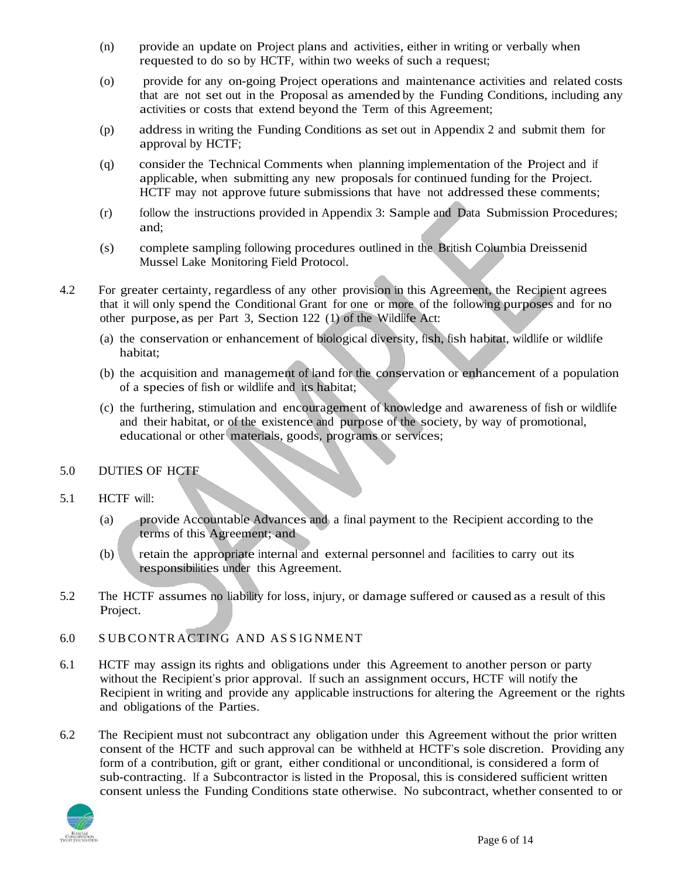- (n) provide an update on Project plans and activities, either in writing or verbally when requested to do so by HCTF, within two weeks of such a request;
- (o) provide for any on-going Project operations and maintenance activities and related costs that are not set out in the Proposal as amended by the Funding Conditions, including any activities or costs that extend beyond the Term of this Agreement;
- (p) address in writing the Funding Conditions as set out in Appendix 2 and submit them for approval by HCTF;
- (q) consider the Technical Comments when planning implementation of the Project and if applicable, when submitting any new proposals for continued funding for the Project. HCTF may not approve future submissions that have not addressed these comments;
- (r) follow the instructions provided in Appendix 3: Sample and Data Submission Procedures; and;
- (s) complete sampling following procedures outlined in the British Columbia Dreissenid Mussel Lake Monitoring Field Protocol.
- 4.2 For greater certainty, regardless of any other provision in this Agreement, the Recipient agrees that it will only spend the Conditional Grant for one or more of the following purposes and for no other purpose, as per Part 3, Section 122 (1) of the Wildlife Act:
	- (a) the conservation or enhancement of biological diversity, fish, fish habitat, wildlife or wildlife habitat;
	- (b) the acquisition and management of land for the conservation or enhancement of a population of a species of fish or wildlife and its habitat;
	- (c) the furthering, stimulation and encouragement of knowledge and awareness of fish or wildlife and their habitat, or of the existence and purpose of the society, by way of promotional, educational or other materials, goods, programs or services;

## 5.0 DUTIES OF HCTF

- 5.1 HCTF will:
	- (a) provide Accountable Advances and a final payment to the Recipient according to the terms of this Agreement; and
	- (b) retain the appropriate internal and external personnel and facilities to carry out its responsibilities under this Agreement.
- 5.2 The HCTF assumes no liability for loss, injury, or damage suffered or caused as a result of this Project.
- 6.0 S UBCO NTR ACTING AND AS S IG NME NT
- 6.1 HCTF may assign its rights and obligations under this Agreement to another person or party without the Recipient's prior approval. If such an assignment occurs, HCTF will notify the Recipient in writing and provide any applicable instructions for altering the Agreement or the rights and obligations of the Parties.
- 6.2 The Recipient must not subcontract any obligation under this Agreement without the prior written consent of the HCTF and such approval can be withheld at HCTF's sole discretion. Providing any form of a contribution, gift or grant, either conditional or unconditional, is considered a form of sub-contracting. If a Subcontractor is listed in the Proposal, this is considered sufficient written consent unless the Funding Conditions state otherwise. No subcontract, whether consented to or

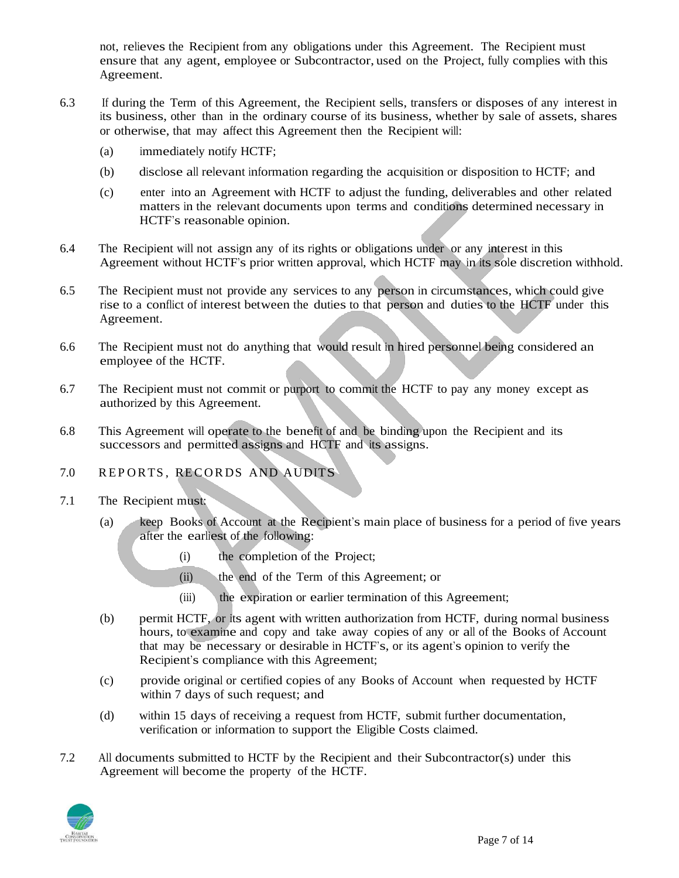not, relieves the Recipient from any obligations under this Agreement. The Recipient must ensure that any agent, employee or Subcontractor, used on the Project, fully complies with this Agreement.

- 6.3 If during the Term of this Agreement, the Recipient sells, transfers or disposes of any interest in its business, other than in the ordinary course of its business, whether by sale of assets, shares or otherwise, that may affect this Agreement then the Recipient will:
	- (a) immediately notify HCTF;
	- (b) disclose all relevant information regarding the acquisition or disposition to HCTF; and
	- (c) enter into an Agreement with HCTF to adjust the funding, deliverables and other related matters in the relevant documents upon terms and conditions determined necessary in HCTF's reasonable opinion.
- 6.4 The Recipient will not assign any of its rights or obligations under or any interest in this Agreement without HCTF's prior written approval, which HCTF may in its sole discretion withhold.
- 6.5 The Recipient must not provide any services to any person in circumstances, which could give rise to a conflict of interest between the duties to that person and duties to the HCTF under this Agreement.
- 6.6 The Recipient must not do anything that would result in hired personnel being considered an employee of the HCTF.
- 6.7 The Recipient must not commit or purport to commit the HCTF to pay any money except as authorized by this Agreement.
- 6.8 This Agreement will operate to the benefit of and be binding upon the Recipient and its successors and permitted assigns and HCTF and its assigns.

# 7.0 REPORTS, RECORDS AND AUDITS

- 7.1 The Recipient must:
	- (a) keep Books of Account at the Recipient's main place of business for a period of five years after the earliest of the following:
		- (i) the completion of the Project;
		- (ii) the end of the Term of this Agreement; or
		- (iii) the expiration or earlier termination of this Agreement;
	- (b) permit HCTF, or its agent with written authorization from HCTF, during normal business hours, to examine and copy and take away copies of any or all of the Books of Account that may be necessary or desirable in HCTF's, or its agent's opinion to verify the Recipient's compliance with this Agreement;
	- (c) provide original or certified copies of any Books of Account when requested by HCTF within 7 days of such request; and
	- (d) within 15 days of receiving a request from HCTF, submit further documentation, verification or information to support the Eligible Costs claimed.
- 7.2 All documents submitted to HCTF by the Recipient and their Subcontractor(s) under this Agreement will become the property of the HCTF.

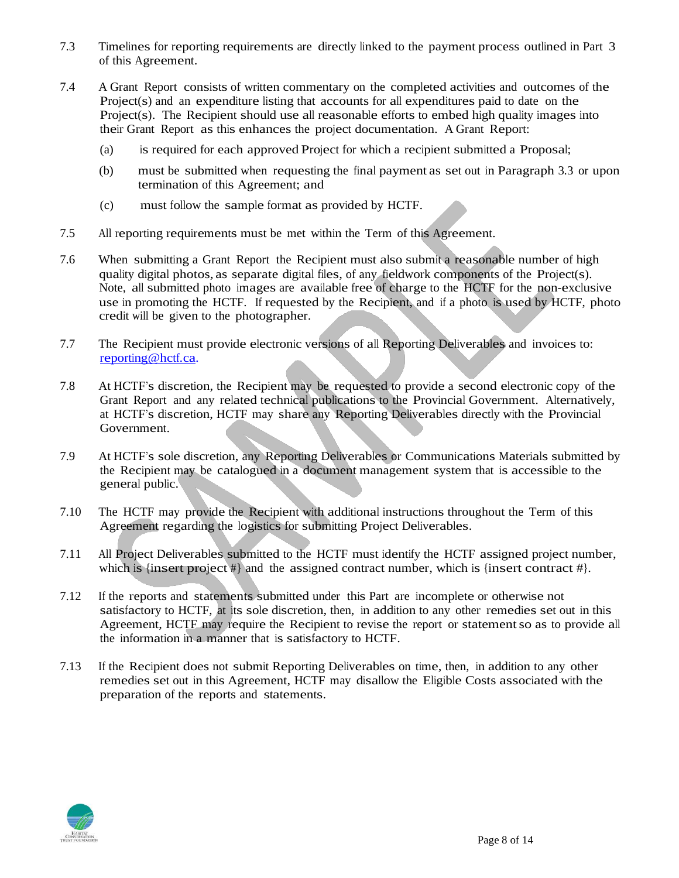- 7.3 Timelines for reporting requirements are directly linked to the payment process outlined in Part 3 of this Agreement.
- 7.4 A Grant Report consists of written commentary on the completed activities and outcomes of the Project(s) and an expenditure listing that accounts for all expenditures paid to date on the Project(s). The Recipient should use all reasonable efforts to embed high quality images into their Grant Report as this enhances the project documentation. A Grant Report:
	- (a) is required for each approved Project for which a recipient submitted a Proposal;
	- (b) must be submitted when requesting the final payment as set out in Paragraph 3.3 or upon termination of this Agreement; and
	- (c) must follow the sample format as provided by HCTF.
- 7.5 All reporting requirements must be met within the Term of this Agreement.
- 7.6 When submitting a Grant Report the Recipient must also submit a reasonable number of high quality digital photos, as separate digital files, of any fieldwork components of the Project(s). Note, all submitted photo images are available free of charge to the HCTF for the non-exclusive use in promoting the HCTF. If requested by the Recipient, and if a photo is used by HCTF, photo credit will be given to the photographer.
- 7.7 The Recipient must provide electronic versions of all Reporting Deliverables and invoices to: [reporting@hctf.ca.](mailto:reporting@hctf.ca)
- 7.8 At HCTF's discretion, the Recipient may be requested to provide a second electronic copy of the Grant Report and any related technical publications to the Provincial Government. Alternatively, at HCTF's discretion, HCTF may share any Reporting Deliverables directly with the Provincial Government.
- 7.9 At HCTF's sole discretion, any Reporting Deliverables or Communications Materials submitted by the Recipient may be catalogued in a document management system that is accessible to the general public.
- 7.10 The HCTF may provide the Recipient with additional instructions throughout the Term of this Agreement regarding the logistics for submitting Project Deliverables.
- 7.11 All Project Deliverables submitted to the HCTF must identify the HCTF assigned project number, which is {insert project  $\#$ } and the assigned contract number, which is {insert contract  $\#$ }.
- 7.12 If the reports and statements submitted under this Part are incomplete or otherwise not satisfactory to HCTF, at its sole discretion, then, in addition to any other remedies set out in this Agreement, HCTF may require the Recipient to revise the report or statementso as to provide all the information in a manner that is satisfactory to HCTF.
- 7.13 If the Recipient does not submit Reporting Deliverables on time, then, in addition to any other remedies set out in this Agreement, HCTF may disallow the Eligible Costs associated with the preparation of the reports and statements.

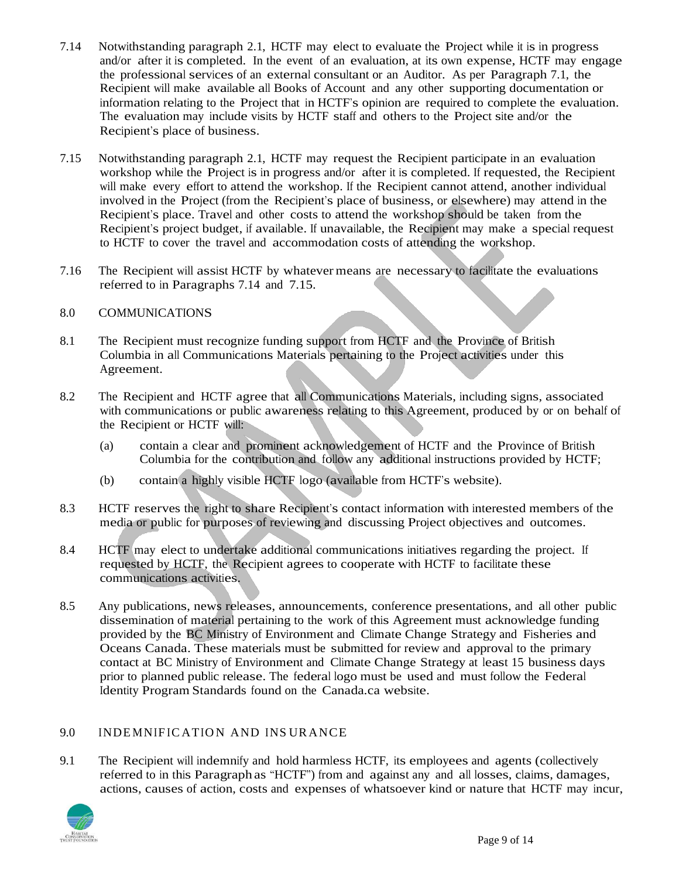- 7.14 Notwithstanding paragraph 2.1, HCTF may elect to evaluate the Project while it is in progress and/or after it is completed. In the event of an evaluation, at its own expense, HCTF may engage the professional services of an external consultant or an Auditor. As per Paragraph 7.1, the Recipient will make available all Books of Account and any other supporting documentation or information relating to the Project that in HCTF's opinion are required to complete the evaluation. The evaluation may include visits by HCTF staff and others to the Project site and/or the Recipient's place of business.
- 7.15 Notwithstanding paragraph 2.1, HCTF may request the Recipient participate in an evaluation workshop while the Project is in progress and/or after it is completed. If requested, the Recipient will make every effort to attend the workshop. If the Recipient cannot attend, another individual involved in the Project (from the Recipient's place of business, or elsewhere) may attend in the Recipient's place. Travel and other costs to attend the workshop should be taken from the Recipient's project budget, if available. If unavailable, the Recipient may make a special request to HCTF to cover the travel and accommodation costs of attending the workshop.
- 7.16 The Recipient will assist HCTF by whatever means are necessary to facilitate the evaluations referred to in Paragraphs 7.14 and 7.15.

### 8.0 COMMUNICATIONS

- 8.1 The Recipient must recognize funding support from HCTF and the Province of British Columbia in all Communications Materials pertaining to the Project activities under this Agreement.
- 8.2 The Recipient and HCTF agree that all Communications Materials, including signs, associated with communications or public awareness relating to this Agreement, produced by or on behalf of the Recipient or HCTF will:
	- (a) contain a clear and prominent acknowledgement of HCTF and the Province of British Columbia for the contribution and follow any additional instructions provided by HCTF;
	- (b) contain a highly visible HCTF logo (available from HCTF's website).
- 8.3 HCTF reserves the right to share Recipient's contact information with interested members of the media or public for purposes of reviewing and discussing Project objectives and outcomes.
- 8.4 HCTF may elect to undertake additional communications initiatives regarding the project. If requested by HCTF, the Recipient agrees to cooperate with HCTF to facilitate these communications activities.
- 8.5 Any publications, news releases, announcements, conference presentations, and all other public dissemination of material pertaining to the work of this Agreement must acknowledge funding provided by the BC Ministry of Environment and Climate Change Strategy and Fisheries and Oceans Canada. These materials must be submitted for review and approval to the primary contact at BC Ministry of Environment and Climate Change Strategy at least 15 business days prior to planned public release. The federal logo must be used and must follow the Federal Identity Program Standards found on the Canada.ca website.

# 9.0 INDEMNIFICATION AND INSURANCE

9.1 The Recipient will indemnify and hold harmless HCTF, its employees and agents (collectively referred to in this Paragraph as "HCTF") from and against any and all losses, claims, damages, actions, causes of action, costs and expenses of whatsoever kind or nature that HCTF may incur,

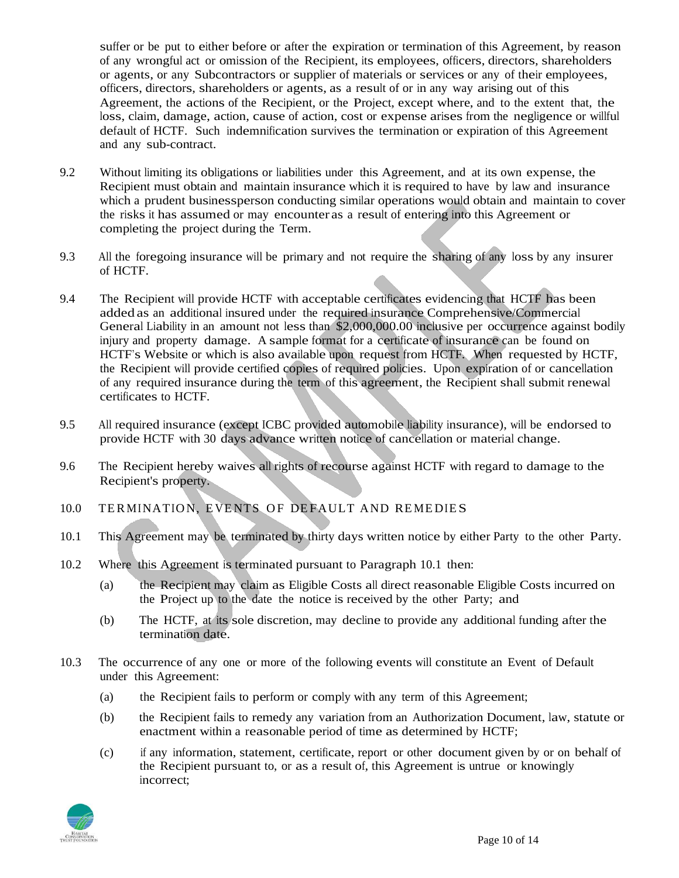suffer or be put to either before or after the expiration or termination of this Agreement, by reason of any wrongful act or omission of the Recipient, its employees, officers, directors, shareholders or agents, or any Subcontractors or supplier of materials or services or any of their employees, officers, directors, shareholders or agents, as a result of or in any way arising out of this Agreement, the actions of the Recipient, or the Project, except where, and to the extent that, the loss, claim, damage, action, cause of action, cost or expense arises from the negligence or willful default of HCTF. Such indemnification survives the termination or expiration of this Agreement and any sub-contract.

- 9.2 Without limiting its obligations or liabilities under this Agreement, and at its own expense, the Recipient must obtain and maintain insurance which it is required to have by law and insurance which a prudent businessperson conducting similar operations would obtain and maintain to cover the risks it has assumed or may encounter as a result of entering into this Agreement or completing the project during the Term.
- 9.3 All the foregoing insurance will be primary and not require the sharing of any loss by any insurer of HCTF.
- 9.4 The Recipient will provide HCTF with acceptable certificates evidencing that HCTF has been added as an additional insured under the required insurance Comprehensive/Commercial General Liability in an amount not less than \$2,000,000.00 inclusive per occurrence against bodily injury and property damage. A sample format for a certificate of insurance can be found on HCTF's Website or which is also available upon request from HCTF. When requested by HCTF, the Recipient will provide certified copies of required policies. Upon expiration of or cancellation of any required insurance during the term of this agreement, the Recipient shall submit renewal certificates to HCTF.
- 9.5 All required insurance (except ICBC provided automobile liability insurance), will be endorsed to provide HCTF with 30 days advance written notice of cancellation or material change.
- 9.6 The Recipient hereby waives all rights of recourse against HCTF with regard to damage to the Recipient's property.
- 10.0 TERMINATION, EVENTS OF DEFAULT AND REMEDIES
- 10.1 This Agreement may be terminated by thirty days written notice by either Party to the other Party.
- 10.2 Where this Agreement is terminated pursuant to Paragraph 10.1 then:
	- (a) the Recipient may claim as Eligible Costs all direct reasonable Eligible Costs incurred on the Project up to the date the notice is received by the other Party; and
	- (b) The HCTF, at its sole discretion, may decline to provide any additional funding after the termination date.
- 10.3 The occurrence of any one or more of the following events will constitute an Event of Default under this Agreement:
	- (a) the Recipient fails to perform or comply with any term of this Agreement;
	- (b) the Recipient fails to remedy any variation from an Authorization Document, law, statute or enactment within a reasonable period of time as determined by HCTF;
	- (c) if any information, statement, certificate, report or other document given by or on behalf of the Recipient pursuant to, or as a result of, this Agreement is untrue or knowingly incorrect;

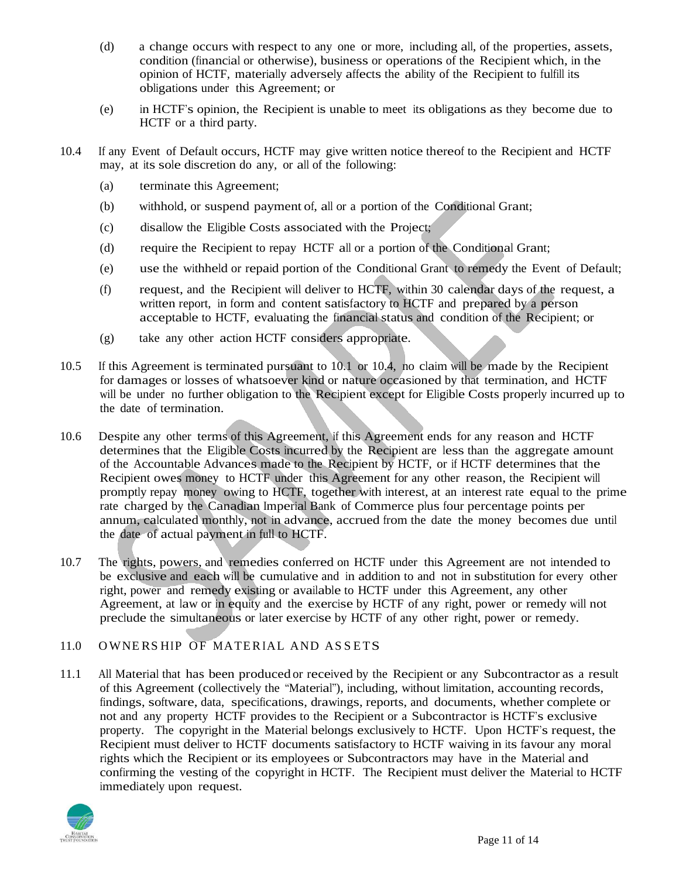- (d) a change occurs with respect to any one or more, including all, of the properties, assets, condition (financial or otherwise), business or operations of the Recipient which, in the opinion of HCTF, materially adversely affects the ability of the Recipient to fulfill its obligations under this Agreement; or
- (e) in HCTF's opinion, the Recipient is unable to meet its obligations as they become due to HCTF or a third party.
- 10.4 If any Event of Default occurs, HCTF may give written notice thereof to the Recipient and HCTF may, at its sole discretion do any, or all of the following:
	- (a) terminate this Agreement;
	- (b) withhold, or suspend payment of, all or a portion of the Conditional Grant;
	- (c) disallow the Eligible Costs associated with the Project;
	- (d) require the Recipient to repay HCTF all or a portion of the Conditional Grant;
	- (e) use the withheld or repaid portion of the Conditional Grant to remedy the Event of Default;
	- (f) request, and the Recipient will deliver to HCTF, within 30 calendar days of the request, a written report, in form and content satisfactory to HCTF and prepared by a person acceptable to HCTF, evaluating the financial status and condition of the Recipient; or
	- (g) take any other action HCTF considers appropriate.
- 10.5 If this Agreement is terminated pursuant to 10.1 or 10.4, no claim will be made by the Recipient for damages or losses of whatsoever kind or nature occasioned by that termination, and HCTF will be under no further obligation to the Recipient except for Eligible Costs properly incurred up to the date of termination.
- 10.6 Despite any other terms of this Agreement, if this Agreement ends for any reason and HCTF determines that the Eligible Costs incurred by the Recipient are less than the aggregate amount of the Accountable Advances made to the Recipient by HCTF, or if HCTF determines that the Recipient owes money to HCTF under this Agreement for any other reason, the Recipient will promptly repay money owing to HCTF, together with interest, at an interest rate equal to the prime rate charged by the Canadian Imperial Bank of Commerce plus four percentage points per annum, calculated monthly, not in advance, accrued from the date the money becomes due until the date of actual payment in full to HCTF.
- 10.7 The rights, powers, and remedies conferred on HCTF under this Agreement are not intended to be exclusive and each will be cumulative and in addition to and not in substitution for every other right, power and remedy existing or available to HCTF under this Agreement, any other Agreement, at law or in equity and the exercise by HCTF of any right, power or remedy will not preclude the simultaneous or later exercise by HCTF of any other right, power or remedy.

# 11.0 OWNERS HIP OF MATERIAL AND ASSETS

11.1 All Material that has been produced or received by the Recipient or any Subcontractor as a result of this Agreement (collectively the "Material"), including, without limitation, accounting records, findings, software, data, specifications, drawings, reports, and documents, whether complete or not and any property HCTF provides to the Recipient or a Subcontractor is HCTF's exclusive property. The copyright in the Material belongs exclusively to HCTF. Upon HCTF's request, the Recipient must deliver to HCTF documents satisfactory to HCTF waiving in its favour any moral rights which the Recipient or its employees or Subcontractors may have in the Material and confirming the vesting of the copyright in HCTF. The Recipient must deliver the Material to HCTF immediately upon request.

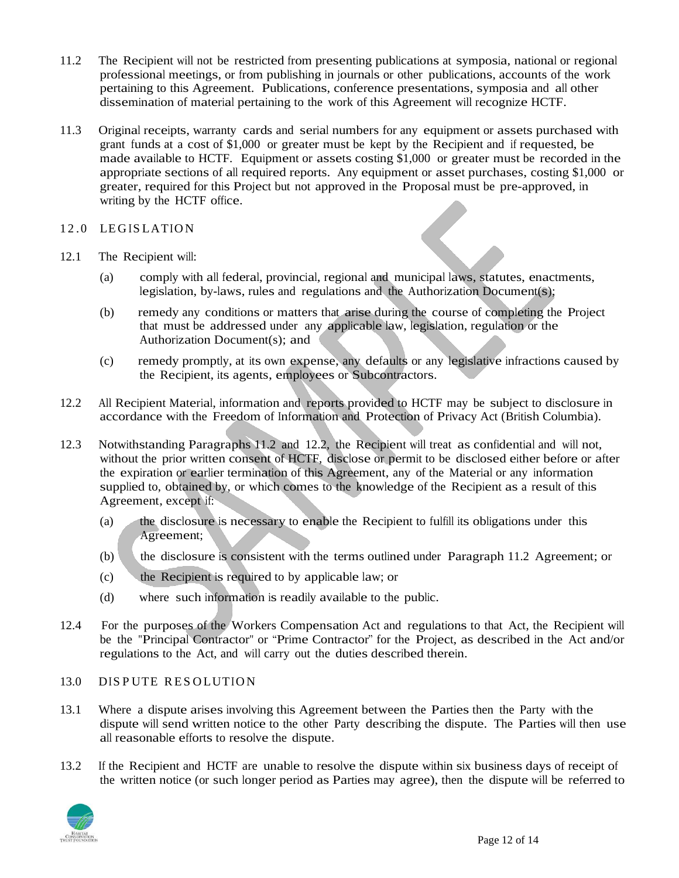- 11.2 The Recipient will not be restricted from presenting publications at symposia, national or regional professional meetings, or from publishing in journals or other publications, accounts of the work pertaining to this Agreement. Publications, conference presentations, symposia and all other dissemination of material pertaining to the work of this Agreement will recognize HCTF.
- 11.3 Original receipts, warranty cards and serial numbers for any equipment or assets purchased with grant funds at a cost of \$1,000 or greater must be kept by the Recipient and if requested, be made available to HCTF. Equipment or assets costing \$1,000 or greater must be recorded in the appropriate sections of all required reports. Any equipment or asset purchases, costing \$1,000 or greater, required for this Project but not approved in the Proposal must be pre-approved, in writing by the HCTF office.

## 12.0 LEGISLATION

- 12.1 The Recipient will:
	- (a) comply with all federal, provincial, regional and municipal laws, statutes, enactments, legislation, by-laws, rules and regulations and the Authorization Document(s);
	- (b) remedy any conditions or matters that arise during the course of completing the Project that must be addressed under any applicable law, legislation, regulation or the Authorization Document(s); and
	- (c) remedy promptly, at its own expense, any defaults or any legislative infractions caused by the Recipient, its agents, employees or Subcontractors.
- 12.2 All Recipient Material, information and reports provided to HCTF may be subject to disclosure in accordance with the Freedom of Information and Protection of Privacy Act (British Columbia).
- 12.3 Notwithstanding Paragraphs 11.2 and 12.2, the Recipient will treat as confidential and will not, without the prior written consent of HCTF, disclose or permit to be disclosed either before or after the expiration or earlier termination of this Agreement, any of the Material or any information supplied to, obtained by, or which comes to the knowledge of the Recipient as a result of this Agreement, except if:
	- (a) the disclosure is necessary to enable the Recipient to fulfill its obligations under this Agreement;
	- (b) the disclosure is consistent with the terms outlined under Paragraph 11.2 Agreement; or
	- (c) the Recipient is required to by applicable law; or
	- (d) where such information is readily available to the public.
- 12.4 For the purposes of the Workers Compensation Act and regulations to that Act, the Recipient will be the "Principal Contractor" or "Prime Contractor" for the Project, as described in the Act and/or regulations to the Act, and will carry out the duties described therein.

### 13.0 DISPUTE RESOLUTION

- 13.1 Where a dispute arises involving this Agreement between the Parties then the Party with the dispute will send written notice to the other Party describing the dispute. The Parties will then use all reasonable efforts to resolve the dispute.
- 13.2 If the Recipient and HCTF are unable to resolve the dispute within six business days of receipt of the written notice (or such longer period as Parties may agree), then the dispute will be referred to

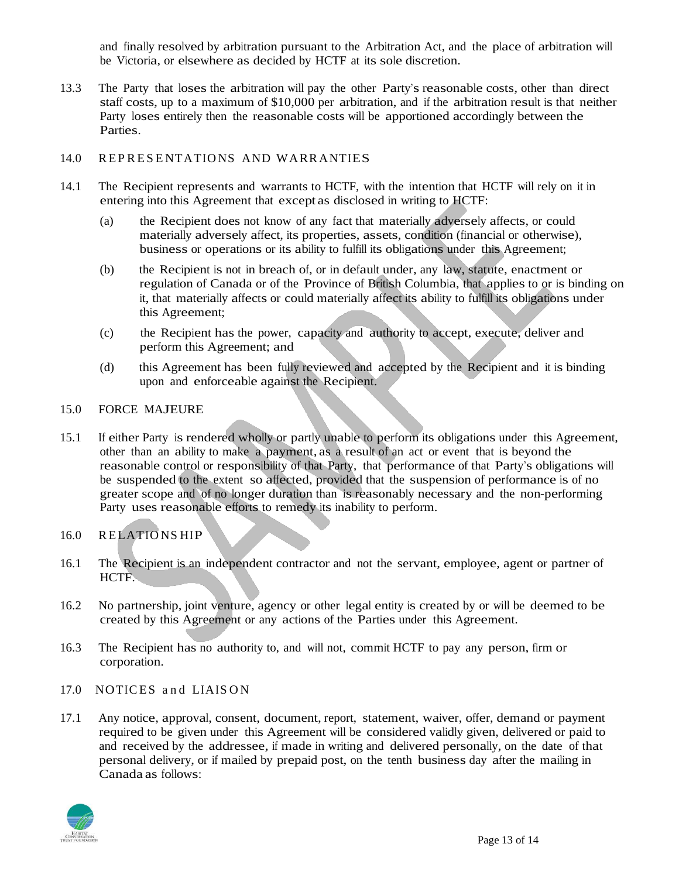and finally resolved by arbitration pursuant to the Arbitration Act, and the place of arbitration will be Victoria, or elsewhere as decided by HCTF at its sole discretion.

13.3 The Party that loses the arbitration will pay the other Party's reasonable costs, other than direct staff costs, up to a maximum of \$10,000 per arbitration, and if the arbitration result is that neither Party loses entirely then the reasonable costs will be apportioned accordingly between the Parties.

# 14.0 REPRESENTATIONS AND WARRANTIES

- 14.1 The Recipient represents and warrants to HCTF, with the intention that HCTF will rely on it in entering into this Agreement that except as disclosed in writing to HCTF:
	- (a) the Recipient does not know of any fact that materially adversely affects, or could materially adversely affect, its properties, assets, condition (financial or otherwise), business or operations or its ability to fulfill its obligations under this Agreement;
	- (b) the Recipient is not in breach of, or in default under, any law, statute, enactment or regulation of Canada or of the Province of British Columbia, that applies to or is binding on it, that materially affects or could materially affect its ability to fulfill its obligations under this Agreement;
	- (c) the Recipient has the power, capacity and authority to accept, execute, deliver and perform this Agreement; and
	- (d) this Agreement has been fully reviewed and accepted by the Recipient and it is binding upon and enforceable against the Recipient.

## 15.0 FORCE MAJEURE

15.1 If either Party is rendered wholly or partly unable to perform its obligations under this Agreement, other than an ability to make a payment, as a result of an act or event that is beyond the reasonable control or responsibility of that Party, that performance of that Party's obligations will be suspended to the extent so affected, provided that the suspension of performance is of no greater scope and of no longer duration than is reasonably necessary and the non-performing Party uses reasonable efforts to remedy its inability to perform.

# 16.0 RELATIO NS HIP

- 16.1 The Recipient is an independent contractor and not the servant, employee, agent or partner of HCTF.
- 16.2 No partnership, joint venture, agency or other legal entity is created by or will be deemed to be created by this Agreement or any actions of the Parties under this Agreement.
- 16.3 The Recipient has no authority to, and will not, commit HCTF to pay any person, firm or corporation.
- 17.0 NOTICES and LIAISON
- 17.1 Any notice, approval, consent, document, report, statement, waiver, offer, demand or payment required to be given under this Agreement will be considered validly given, delivered or paid to and received by the addressee, if made in writing and delivered personally, on the date of that personal delivery, or if mailed by prepaid post, on the tenth business day after the mailing in Canada as follows: